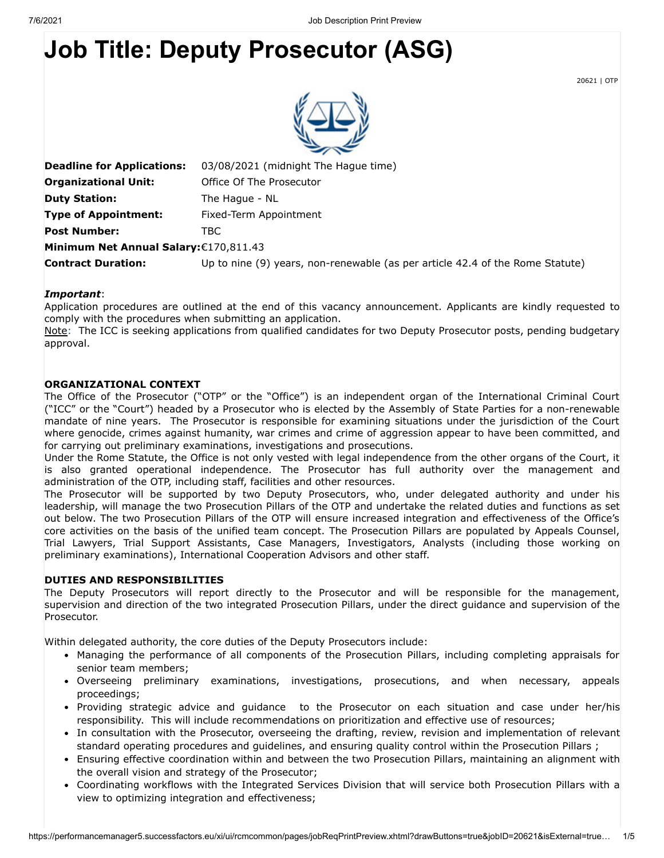# **Job Title: Deputy Prosecutor (ASG)**

20621 | OTP



| <b>Deadline for Applications:</b>      | 03/08/2021 (midnight The Hague time)                                          |
|----------------------------------------|-------------------------------------------------------------------------------|
| <b>Organizational Unit:</b>            | Office Of The Prosecutor                                                      |
| <b>Duty Station:</b>                   | The Hague - NL                                                                |
| <b>Type of Appointment:</b>            | Fixed-Term Appointment                                                        |
| <b>Post Number:</b>                    | TBC.                                                                          |
| Minimum Net Annual Salary: €170,811.43 |                                                                               |
| <b>Contract Duration:</b>              | Up to nine (9) years, non-renewable (as per article 42.4 of the Rome Statute) |
|                                        |                                                                               |

#### *Important*:

Application procedures are outlined at the end of this vacancy announcement. Applicants are kindly requested to comply with the procedures when submitting an application.

Note: The ICC is seeking applications from qualified candidates for two Deputy Prosecutor posts, pending budgetary approval.

#### **ORGANIZATIONAL CONTEXT**

The Office of the Prosecutor ("OTP" or the "Office") is an independent organ of the International Criminal Court ("ICC" or the "Court") headed by a Prosecutor who is elected by the Assembly of State Parties for a non-renewable mandate of nine years. The Prosecutor is responsible for examining situations under the jurisdiction of the Court where genocide, crimes against humanity, war crimes and crime of aggression appear to have been committed, and for carrying out preliminary examinations, investigations and prosecutions.

Under the Rome Statute, the Office is not only vested with legal independence from the other organs of the Court, it is also granted operational independence. The Prosecutor has full authority over the management and administration of the OTP, including staff, facilities and other resources.

The Prosecutor will be supported by two Deputy Prosecutors, who, under delegated authority and under his leadership, will manage the two Prosecution Pillars of the OTP and undertake the related duties and functions as set out below. The two Prosecution Pillars of the OTP will ensure increased integration and effectiveness of the Office's core activities on the basis of the unified team concept. The Prosecution Pillars are populated by Appeals Counsel, Trial Lawyers, Trial Support Assistants, Case Managers, Investigators, Analysts (including those working on preliminary examinations), International Cooperation Advisors and other staff.

#### **DUTIES AND RESPONSIBILITIES**

The Deputy Prosecutors will report directly to the Prosecutor and will be responsible for the management, supervision and direction of the two integrated Prosecution Pillars, under the direct guidance and supervision of the Prosecutor.

Within delegated authority, the core duties of the Deputy Prosecutors include:

- Managing the performance of all components of the Prosecution Pillars, including completing appraisals for senior team members;
- Overseeing preliminary examinations, investigations, prosecutions, and when necessary, appeals proceedings;
- Providing strategic advice and guidance to the Prosecutor on each situation and case under her/his responsibility. This will include recommendations on prioritization and effective use of resources;
- In consultation with the Prosecutor, overseeing the drafting, review, revision and implementation of relevant standard operating procedures and guidelines, and ensuring quality control within the Prosecution Pillars ;
- Ensuring effective coordination within and between the two Prosecution Pillars, maintaining an alignment with the overall vision and strategy of the Prosecutor;
- Coordinating workflows with the Integrated Services Division that will service both Prosecution Pillars with a view to optimizing integration and effectiveness;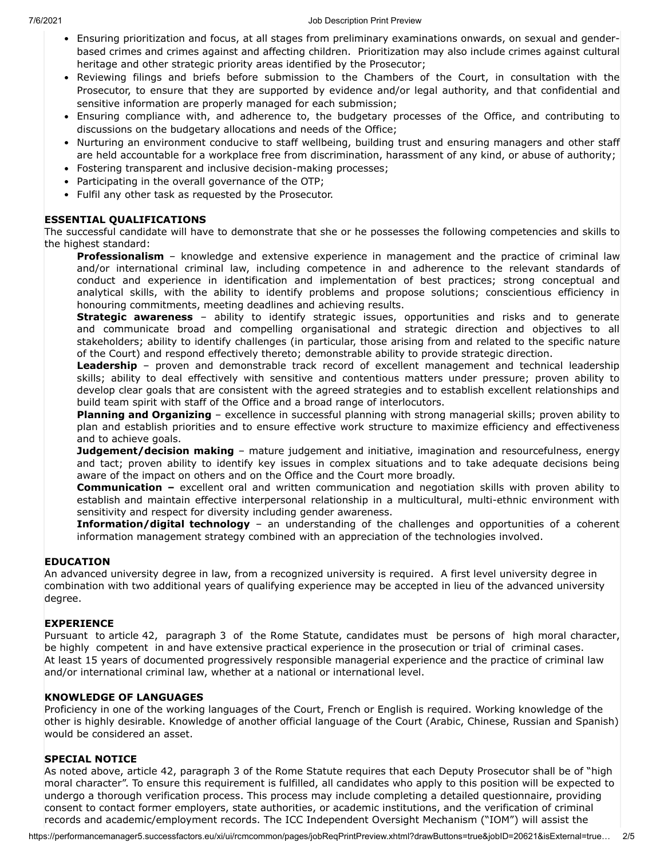- Ensuring prioritization and focus, at all stages from preliminary examinations onwards, on sexual and genderbased crimes and crimes against and affecting children. Prioritization may also include crimes against cultural heritage and other strategic priority areas identified by the Prosecutor;
- Reviewing filings and briefs before submission to the Chambers of the Court, in consultation with the Prosecutor, to ensure that they are supported by evidence and/or legal authority, and that confidential and sensitive information are properly managed for each submission;
- Ensuring compliance with, and adherence to, the budgetary processes of the Office, and contributing to discussions on the budgetary allocations and needs of the Office;
- Nurturing an environment conducive to staff wellbeing, building trust and ensuring managers and other staff are held accountable for a workplace free from discrimination, harassment of any kind, or abuse of authority;
- Fostering transparent and inclusive decision-making processes;
- Participating in the overall governance of the OTP;
- Fulfil any other task as requested by the Prosecutor.

### **ESSENTIAL QUALIFICATIONS**

The successful candidate will have to demonstrate that she or he possesses the following competencies and skills to the highest standard:

**Professionalism** – knowledge and extensive experience in management and the practice of criminal law and/or international criminal law, including competence in and adherence to the relevant standards of conduct and experience in identification and implementation of best practices; strong conceptual and analytical skills, with the ability to identify problems and propose solutions; conscientious efficiency in honouring commitments, meeting deadlines and achieving results.

**Strategic awareness** – ability to identify strategic issues, opportunities and risks and to generate and communicate broad and compelling organisational and strategic direction and objectives to all stakeholders; ability to identify challenges (in particular, those arising from and related to the specific nature of the Court) and respond effectively thereto; demonstrable ability to provide strategic direction.

**Leadership** – proven and demonstrable track record of excellent management and technical leadership skills; ability to deal effectively with sensitive and contentious matters under pressure; proven ability to develop clear goals that are consistent with the agreed strategies and to establish excellent relationships and build team spirit with staff of the Office and a broad range of interlocutors.

**Planning and Organizing** – excellence in successful planning with strong managerial skills; proven ability to plan and establish priorities and to ensure effective work structure to maximize efficiency and effectiveness and to achieve goals.

**Judgement/decision making** – mature judgement and initiative, imagination and resourcefulness, energy and tact; proven ability to identify key issues in complex situations and to take adequate decisions being aware of the impact on others and on the Office and the Court more broadly.

**Communication –** excellent oral and written communication and negotiation skills with proven ability to establish and maintain effective interpersonal relationship in a multicultural, multi-ethnic environment with sensitivity and respect for diversity including gender awareness.

**Information/digital technology** – an understanding of the challenges and opportunities of a coherent information management strategy combined with an appreciation of the technologies involved.

# **EDUCATION**

An advanced university degree in law, from a recognized university is required. A first level university degree in combination with two additional years of qualifying experience may be accepted in lieu of the advanced university degree.

#### **EXPERIENCE**

Pursuant to article 42, paragraph 3 of the Rome Statute, candidates must be persons of high moral character, be highly competent in and have extensive practical experience in the prosecution or trial of criminal cases. At least 15 years of documented progressively responsible managerial experience and the practice of criminal law and/or international criminal law, whether at a national or international level.

#### **KNOWLEDGE OF LANGUAGES**

Proficiency in one of the working languages of the Court, French or English is required. Working knowledge of the other is highly desirable. Knowledge of another official language of the Court (Arabic, Chinese, Russian and Spanish) would be considered an asset.

#### **SPECIAL NOTICE**

As noted above, article 42, paragraph 3 of the Rome Statute requires that each Deputy Prosecutor shall be of "high moral character". To ensure this requirement is fulfilled, all candidates who apply to this position will be expected to undergo a thorough verification process. This process may include completing a detailed questionnaire, providing consent to contact former employers, state authorities, or academic institutions, and the verification of criminal records and academic/employment records. The ICC Independent Oversight Mechanism ("IOM") will assist the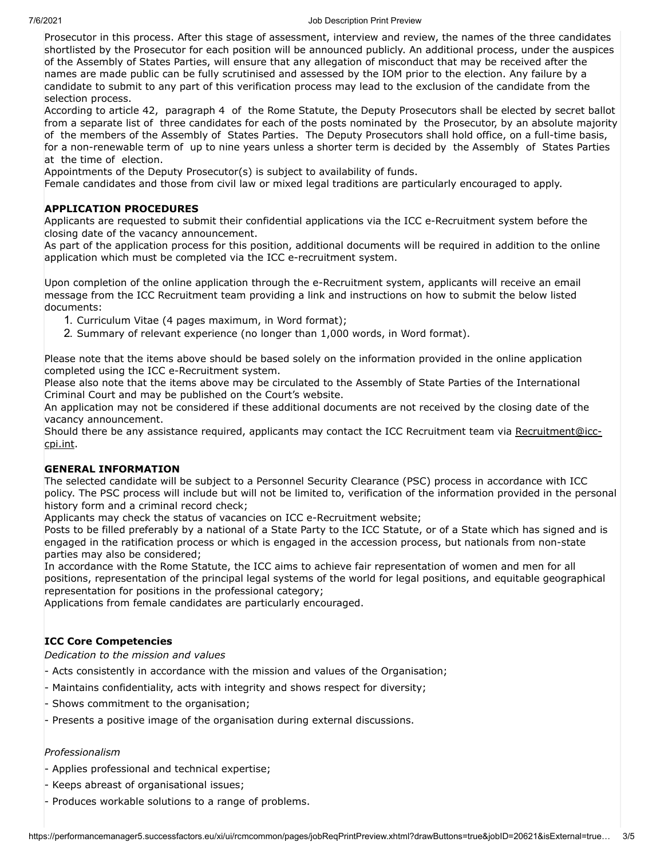#### 7/6/2021 Job Description Print Preview

Prosecutor in this process. After this stage of assessment, interview and review, the names of the three candidates shortlisted by the Prosecutor for each position will be announced publicly. An additional process, under the auspices of the Assembly of States Parties, will ensure that any allegation of misconduct that may be received after the names are made public can be fully scrutinised and assessed by the IOM prior to the election. Any failure by a candidate to submit to any part of this verification process may lead to the exclusion of the candidate from the selection process.

According to article 42, paragraph 4 of the Rome Statute, the Deputy Prosecutors shall be elected by secret ballot from a separate list of three candidates for each of the posts nominated by the Prosecutor, by an absolute majority of the members of the Assembly of States Parties. The Deputy Prosecutors shall hold office, on a full-time basis, for a non-renewable term of up to nine years unless a shorter term is decided by the Assembly of States Parties at the time of election.

Appointments of the Deputy Prosecutor(s) is subject to availability of funds.

Female candidates and those from civil law or mixed legal traditions are particularly encouraged to apply.

#### **APPLICATION PROCEDURES**

Applicants are requested to submit their confidential applications via the ICC e-Recruitment system before the closing date of the vacancy announcement.

As part of the application process for this position, additional documents will be required in addition to the online application which must be completed via the ICC e-recruitment system.

Upon completion of the online application through the e-Recruitment system, applicants will receive an email message from the ICC Recruitment team providing a link and instructions on how to submit the below listed documents:

- 1. Curriculum Vitae (4 pages maximum, in Word format);
- 2. Summary of relevant experience (no longer than 1,000 words, in Word format).

Please note that the items above should be based solely on the information provided in the online application completed using the ICC e-Recruitment system.

Please also note that the items above may be circulated to the Assembly of State Parties of the International Criminal Court and may be published on the Court's website.

An application may not be considered if these additional documents are not received by the closing date of the vacancy announcement.

[Should there be any assistance required, applicants may contact the ICC Recruitment team via Recruitment@icc](javascript:void(0);)cpi.int.

#### **GENERAL INFORMATION**

The selected candidate will be subject to a Personnel Security Clearance (PSC) process in accordance with ICC policy. The PSC process will include but will not be limited to, verification of the information provided in the personal history form and a criminal record check;

Applicants may check the status of vacancies on ICC e-Recruitment website;

Posts to be filled preferably by a national of a State Party to the ICC Statute, or of a State which has signed and is engaged in the ratification process or which is engaged in the accession process, but nationals from non-state parties may also be considered;

In accordance with the Rome Statute, the ICC aims to achieve fair representation of women and men for all positions, representation of the principal legal systems of the world for legal positions, and equitable geographical representation for positions in the professional category;

Applications from female candidates are particularly encouraged.

# **ICC Core Competencies**

*Dedication to the mission and values*

- Acts consistently in accordance with the mission and values of the Organisation;
- Maintains confidentiality, acts with integrity and shows respect for diversity;
- Shows commitment to the organisation;
- Presents a positive image of the organisation during external discussions.

# *Professionalism*

- Applies professional and technical expertise;
- Keeps abreast of organisational issues;
- Produces workable solutions to a range of problems.